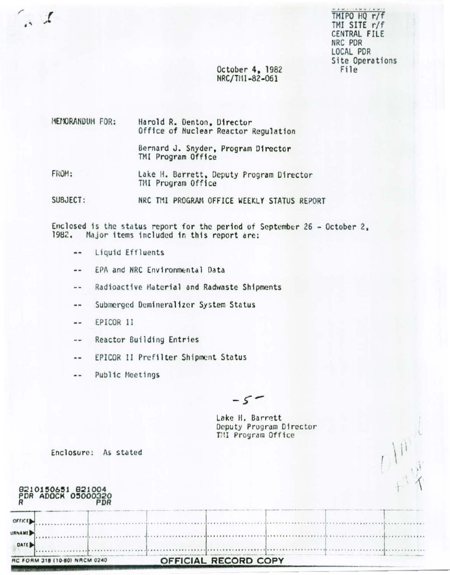TMIPO HQ r/f TMI SITE r/f CENTRAL FILE NRC PDR LOCAL PDR Site Operations File

# October 4, 1982 NRC/TI11-82-061

MEMORANDUM FOR: Harold R. Denton, Director Office of Nuclear Reactor Regulation Bernard J. Snyder, Program Director

FROM: Lake H. Barrett, Deputy Program Director TMI Program Office

TMI Program Office

SUBJECT: NRC TMI PROGRAM OFFICE WEEKLY STATUS REPORT

Enclosed is the status report for the period of September 26 - October 2. 1982. Major items included in this report are:

- Liquid Effluents  $\overline{a}$
- EPA and NRC Environmental Data  $-1$
- Radioactive Material and Radwaste Shipments  $-1$
- Submerged Demineralizer System Status  $\sim$
- EPICOR 11  $\sim$   $\sim$

 $\cdot$   $\cdot$ 

- Reactor Building Entries  $\frac{1}{2}$
- EPICOR II Prefilter Shipment Status --
- Public Meetings  $\overline{a}$

 $-5$ 

Lake H. Barrett Deputy Program Director TMI Program Office

|                                                 | RC FORM 318 (10-80) NRCM 0240           |            | OFFICIAL RECORD COPY |                         |  |
|-------------------------------------------------|-----------------------------------------|------------|----------------------|-------------------------|--|
| OFFICE<br><b>URNAME</b><br>DATE <sub>&gt;</sub> |                                         |            |                      |                         |  |
|                                                 | 8210150651 821004<br>PDR ADOCK 05000320 | <b>PDR</b> |                      |                         |  |
|                                                 | Enclosure:                              | As stated  |                      |                         |  |
|                                                 |                                         |            | TMI Program Office   | Deputy Program Director |  |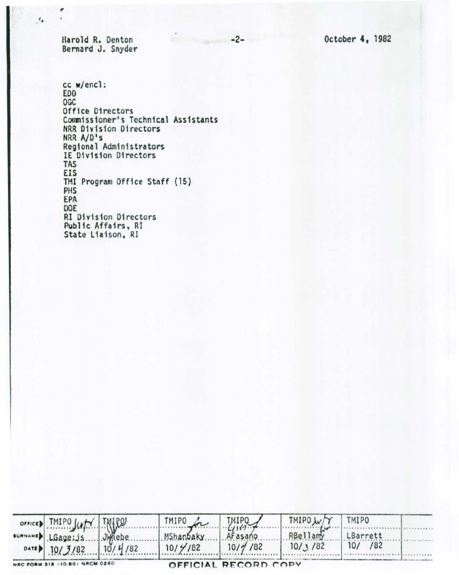October 4, 1982

 $-2-$ 

Harold R. Denton Bernard J. Snyder

è

 $\prime_{\pm}$ 

 $cc$  w/encl: EDO OGC Office Directors Commissioner's Technical Assistants NRR Division Directors NRR A/D's Regional Administrators IE D1v1s1on Directors TAS EIS TMI Program Office Staff (15) PHS EPA DOE RI Division Directors Pub11c Affairs, RI State Liaison, RJ

| OFFICED TMIPO JUST TRIRO       |        | TMIPO for  | TMIPO                | TMIPO W/ | TMIPO     |  |
|--------------------------------|--------|------------|----------------------|----------|-----------|--|
| sumNAMED LGage; JS.            | Jimebe | MShanbaky. | AFasano              | RBellamy | LBarrett  |  |
| DATE 10/3/82 10/4/82           |        | 10/4/82    | $10/\frac{4}{7}$ /82 | 10/3/82  | $10/$ /82 |  |
| NRC FORM 318 (10.80) NRCM 0240 |        |            | OFFICIAL RECORD COPY |          |           |  |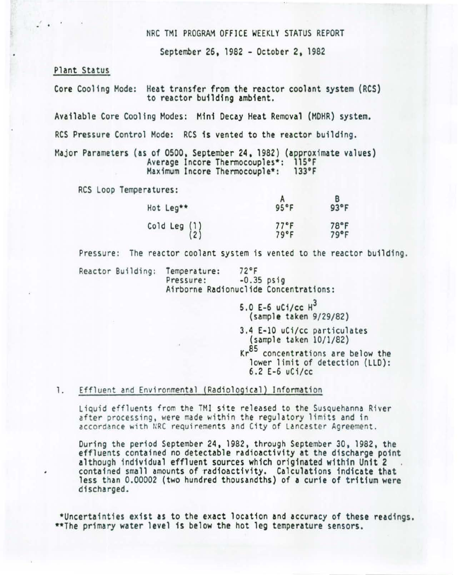### NRC TMI PROGRAM OFFICE WEEKLY STATUS REPORT

September 26, 1982 - October 2, 1982

### Plant Status

 $\mathbf{r}$ .

Core Cooling Mode: Heat transfer from the reactor coolant system (RCS) to reactor building ambient.

Available Core Cooling Modes: Mini Decay Heat Removal (MOHR) system.

RCS Pressure Control Mode: RCS is vented to the reactor building.

Major Parameters (as of 0500, September 24, 1982) (approximate values)<br>Average Incore Thermocouples\*: 115°F<br>Maximum Incore Thermocouple\*: 133°F Maximum Incore Thermocouple\*:

RCS Loop Temperatures:

| Hot Leg**           | 95°F                   | $93^{\circ}$ F |
|---------------------|------------------------|----------------|
| Cold Leg (1)<br>(2) | $77^{\circ}$ F<br>79°F | 78°F<br>79°F   |

Pressure: The reactor coolant system is vented to the reactor building.

Reactor Building: Temperature: 72°F<br>Pressure: -0.35 psig Airborne Radionuclide Concentrations:

> 5.0 E-6 uCi/cc  $H^3$ (sample taken 9/29/82) 3.4 E-10 uCi /cc particulates (sample taken 10/1/82) Kr<sup>85</sup> concentrations are below the lower limit of detection (LLO):

# 6.2 E-6 uCi/cc

# 1. Effluent and Environmental (Radiological) Information

Liquid effluents from the TMI site released to the Susquehanna River after processing, were made within the regulatory limits and in accordance with NRC requirements and City of Lancaster Agreement.

During the period September 24, 1982, through September 30, 1982, the effluents contained no detectable radioactivity at the discharge point although individual effluent sources which originated within Unit 2 contained small amounts of radioactivity. Calculations indicate that less than 0.00002 (two hundred thousandths) of a curie of tritium were discharged.

\*Uncertainties exist as to the exact location and accuracy of these readings.<br>\*\*The primary water level is below the hot leg temperature sensors.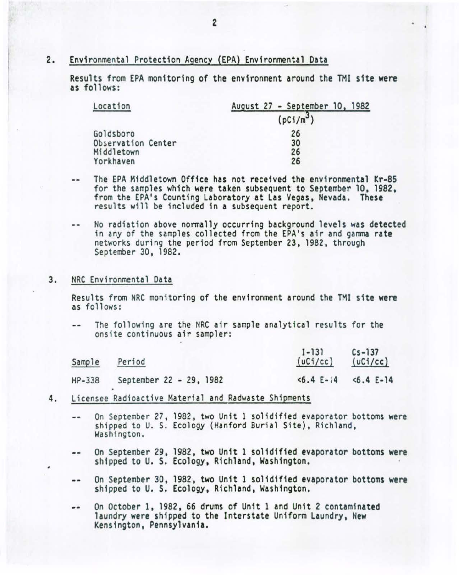# 2. Environmental Protection Agency (EPA) Environmental Data

Results from EPA monitoring of the environment around the TMI site were as follows:

| Location           | August 27 - September 10, 1982 |
|--------------------|--------------------------------|
|                    | (pC1/m <sup>3</sup> )          |
| Goldsboro          | 26                             |
| Observation Center | 30                             |
| Middletown         | 26                             |
| Yorkhaven          | 26                             |

- The EPA Middletown Office has not received the environmental Kr-85 *for* the samples which were taken subsequent to September 10, 1982, from the EPA's Counting Laboratory at Las Vegas, Nevada . These results will be included in a subsequent report.
- No radiation above normally occurring background levels was detected in any of the samples collected from the EPA's air and gamma rate networks during the period from September 23, 1982, through September 30, 1982.

#### 3. NRC Environmental Data

Results from NRC monitoring of the environment around the TMI site were as follows :

The following are the NRC air sample analytical results for the  $-1$ onsite continuous air samp ler:

| Sample | Period                  | $1 - 131$<br>(UCi/cc) | $Cs - 137$<br>(uC <sub>1</sub> /cc) |
|--------|-------------------------|-----------------------|-------------------------------------|
| HP-338 | September 22 - 29, 1982 | $5.4 E-14$            | $5.4$ E-14                          |

- 4. Licensee Radioactive Material and Radwaste Shipments
	- On September 27, 1982, two Unit 1 solidified evaporator bottoms were  $\sim$   $\sim$ shipped to U. S. Ecology (Hanford Burial Site), Richland, Washington.
	- On September 29, 1982, two Unit 1 solidified evaporator bottoms were -shipped to U. S. Ecology, Richland, Washington.
	- On September 30, 1982, two Unit 1 solidified evaporator bottoms were  $\cdots$ shipped to U. S. Ecology, Richland, Washington.
	- On October 1, 1982, 66 drums of Unit 1 and Unit 2 contaminated  $\frac{1}{2}$ laundry were shipped to the Interstate Uniform Laundry, New Kensington, Pennsylvania.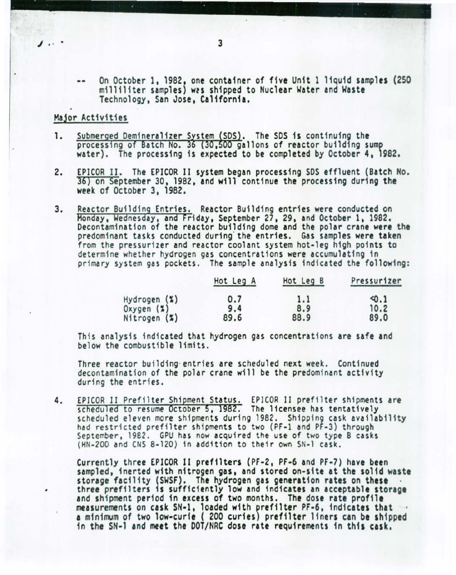On October 1, 1982, one container of five Unit 1 11quid samples (250 milliliter samples) wps shipped to Nuclear Water and Waste Technology, San Jose, California.

# Major Activities

- Submerged Demineralizer System (SDS). The SDS is continuing the 1. processing of Batch No. 36 (30,500 gallons of reactor building sump water). The processing is expected to be completed by October 4, 1982.
- 2. EPICOR II. The EPICOR II system began processing SDS effluent (Batch *Ho.*  36} on September 30, 1982, and will continue the processing during the week of October 3, 1982.
- 3. Reactor Building Entries. Reactor Building entries were conducted on Monday, Wednesday, and Friday, September 27, 29, and October 1, 1982. Decontamination of the reactor building dome and the polar crane were the predominant tasks conducted during the entries. Gas samples were taken from the pressurizer and reactor coolant system hot-leg high points to determine whether hydrogen gas concentrations were accumulating in primary system gas pockets. The sample analysis indicated the following:

|              | Hot Leg A | Hot Leg B | Pressurizer |
|--------------|-----------|-----------|-------------|
| Hydrogen (%) | 0.7       | 1.1       | 40.1        |
| Oxygen (%)   | 9.4       | 8.9       | 10.2        |
| Nitrogen (%) | 89.6      | 88.9      | 89.0        |

This analysis indicated that hydrogen gas concentrations are safe and below the combustible limits.

Three reactor building entries are scheduled next week. Continued decontamination of the polar crane will be the predominant activity during the entries.

4. EPICOR II Prefilter Shipment Status. EPICOR II prefilter shipments are<br>scheduled to resume October 5, 1982. The licensee has tentatively scheduled eleven more shipments during 1982. Shipping cask availability<br>had restricted prefilter shipments to two (PF-1 and PF-3) through<br>September, 1982. GPU has now acquired the use of two type B casks (HH-200 and CHS 8-120 ) in addition to their own SN-1 cask.

Currently three EPJCOR 11 pref1lters (PF-2, PF-6 and PF-7) have been sampled, 1nerted with nitrogen gas, and stored on-site at the so11d waste storage facility (SWSF). The hydrogen gas generation rates on these · three prefilters is sufficiently low and indicates an acceptable storage and shipment period in excess of two months. The dose rate profile measurements on cask SN-1, loaded with prefilter PF-6, indicates that a minimum of two low-curie ( 200 curies) prefilter liners can be shipped in the SH-1 and meet the DOT/NRC dose rate requirements in this cask.